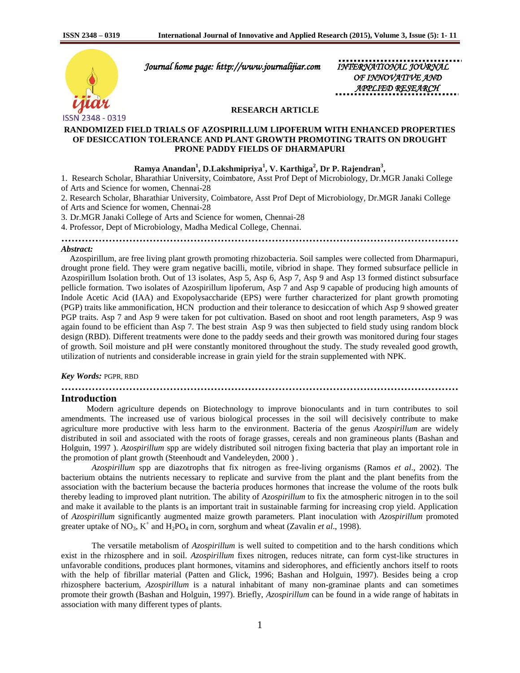

 *Journal home page: http://www.journalijiar.com INTERNATIONAL JOURNAL* 

*OF INNOVATIVE AND APPLIED RESEARCH* 

## **RESEARCH ARTICLE**

## **RANDOMIZED FIELD TRIALS OF AZOSPIRILLUM LIPOFERUM WITH ENHANCED PROPERTIES OF DESICCATION TOLERANCE AND PLANT GROWTH PROMOTING TRAITS ON DROUGHT PRONE PADDY FIELDS OF DHARMAPURI**

# **Ramya Anandan<sup>1</sup> , D.Lakshmipriya<sup>1</sup> , V. Karthiga<sup>2</sup> , Dr P. Rajendran<sup>3</sup> ,**

1. Research Scholar, Bharathiar University, Coimbatore, Asst Prof Dept of Microbiology, Dr.MGR Janaki College of Arts and Science for women, Chennai-28

2. Research Scholar, Bharathiar University, Coimbatore, Asst Prof Dept of Microbiology, Dr.MGR Janaki College of Arts and Science for women, Chennai-28

3. Dr.MGR Janaki College of Arts and Science for women, Chennai-28

4. Professor, Dept of Microbiology, Madha Medical College, Chennai.

**………………………………………………………………………………………………………**

#### *Abstract:*

 Azospirillum, are free living plant growth promoting rhizobacteria. Soil samples were collected from Dharmapuri, drought prone field. They were gram negative bacilli, motile, vibriod in shape. They formed subsurface pellicle in Azospirillum Isolation broth. Out of 13 isolates, Asp 5, Asp 6, Asp 7, Asp 9 and Asp 13 formed distinct subsurface pellicle formation. Two isolates of Azospirillum lipoferum, Asp 7 and Asp 9 capable of producing high amounts of Indole Acetic Acid (IAA) and Exopolysaccharide (EPS) were further characterized for plant growth promoting (PGP) traits like ammonification, HCN production and their tolerance to desiccation of which Asp 9 showed greater PGP traits. Asp 7 and Asp 9 were taken for pot cultivation. Based on shoot and root length parameters, Asp 9 was again found to be efficient than Asp 7. The best strain Asp 9 was then subjected to field study using random block design (RBD). Different treatments were done to the paddy seeds and their growth was monitored during four stages of growth. Soil moisture and pH were constantly monitored throughout the study. The study revealed good growth, utilization of nutrients and considerable increase in grain yield for the strain supplemented with NPK.

#### *Key Words:* PGPR, RBD

## **………………………………………………………………………………………………………**

# **Introduction**

 Modern agriculture depends on Biotechnology to improve bionoculants and in turn contributes to soil amendments. The increased use of various biological processes in the soil will decisively contribute to make agriculture more productive with less harm to the environment. Bacteria of the genus *Azospirillum* are widely distributed in soil and associated with the roots of forage grasses, cereals and non gramineous plants (Bashan and Holguin, 1997 ). *Azospirillum* spp are widely distributed soil nitrogen fixing bacteria that play an important role in the promotion of plant growth (Steenhoudt and Vandeleyden, 2000 ) .

*Azospirillum* spp are diazotrophs that fix nitrogen as free-living organisms (Ramos *et al*., 2002). The bacterium obtains the nutrients necessary to replicate and survive from the plant and the plant benefits from the association with the bacterium because the bacteria produces hormones that increase the volume of the roots bulk thereby leading to improved plant nutrition. The ability of *Azospirillum* to fix the atmospheric nitrogen in to the soil and make it available to the plants is an important trait in sustainable farming for increasing crop yield. Application of *Azospirillum* significantly augmented maize growth parameters. Plant inoculation with *Azospirillum* promoted greater uptake of  $NO_3$ ,  $K^+$  and  $H_2PO_4$  in corn, sorghum and wheat (Zavalin *et al.*, 1998).

The versatile metabolism of *Azospirillum* is well suited to competition and to the harsh conditions which exist in the rhizosphere and in soil. *Azospirillum* fixes nitrogen, reduces nitrate, can form cyst-like structures in unfavorable conditions, produces plant hormones, vitamins and siderophores, and efficiently anchors itself to roots with the help of fibrillar material (Patten and Glick, 1996; Bashan and Holguin, 1997). Besides being a crop rhizosphere bacterium, *Azospirillum* is a natural inhabitant of many non-graminae plants and can sometimes promote their growth (Bashan and Holguin, 1997). Briefly, *Azospirillum* can be found in a wide range of habitats in association with many different types of plants.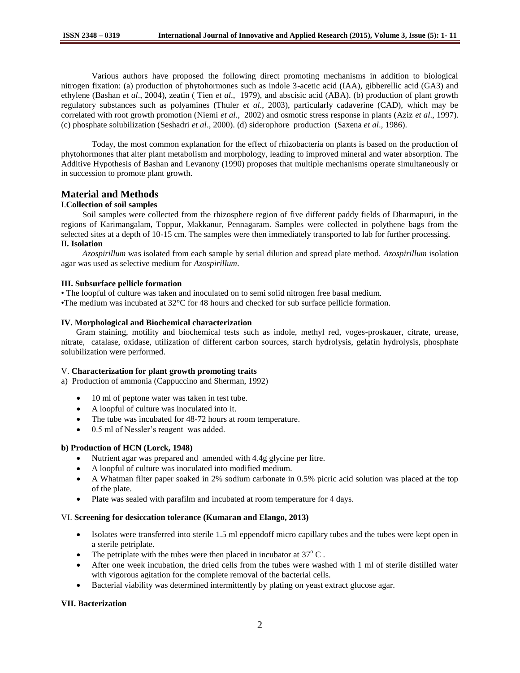Various authors have proposed the following direct promoting mechanisms in addition to biological nitrogen fixation: (a) production of phytohormones such as indole 3-acetic acid (IAA), gibberellic acid (GA3) and ethylene (Bashan *et al*., 2004), zeatin ( Tien *et al*., 1979), and abscisic acid (ABA). (b) production of plant growth regulatory substances such as polyamines (Thuler *et al*., 2003), particularly cadaverine (CAD), which may be correlated with root growth promotion (Niemi *et al*., 2002) and osmotic stress response in plants (Aziz *et al*., 1997). (c) phosphate solubilization (Seshadri *et al*., 2000). (d) siderophore production (Saxena *et al*., 1986).

Today, the most common explanation for the effect of rhizobacteria on plants is based on the production of phytohormones that alter plant metabolism and morphology, leading to improved mineral and water absorption. The Additive Hypothesis of Bashan and Levanony (1990) proposes that multiple mechanisms operate simultaneously or in succession to promote plant growth.

# **Material and Methods**

## I.**Collection of soil samples**

 Soil samples were collected from the rhizosphere region of five different paddy fields of Dharmapuri, in the regions of Karimangalam, Toppur, Makkanur, Pennagaram. Samples were collected in polythene bags from the selected sites at a depth of 10-15 cm. The samples were then immediately transported to lab for further processing. II**. Isolation**

 *Azospirillum* was isolated from each sample by serial dilution and spread plate method. *Azospirillum* isolation agar was used as selective medium for *Azospirillum*.

## **III. Subsurface pellicle formation**

• The loopful of culture was taken and inoculated on to semi solid nitrogen free basal medium.

•The medium was incubated at 32°C for 48 hours and checked for sub surface pellicle formation.

## **IV. Morphological and Biochemical characterization**

 Gram staining, motility and biochemical tests such as indole, methyl red, voges-proskauer, citrate, urease, nitrate, catalase, oxidase, utilization of different carbon sources, starch hydrolysis, gelatin hydrolysis, phosphate solubilization were performed.

## V. **Characterization for plant growth promoting traits**

a) Production of ammonia (Cappuccino and Sherman, 1992)

- 10 ml of peptone water was taken in test tube.
- A loopful of culture was inoculated into it.
- The tube was incubated for 48-72 hours at room temperature.
- 0.5 ml of Nessler's reagent was added.

## **b) Production of HCN (Lorck, 1948)**

- Nutrient agar was prepared and amended with 4.4g glycine per litre.
- A loopful of culture was inoculated into modified medium.
- A Whatman filter paper soaked in 2% sodium carbonate in 0.5% picric acid solution was placed at the top of the plate.
- Plate was sealed with parafilm and incubated at room temperature for 4 days.

### VI. **Screening for desiccation tolerance (Kumaran and Elango, 2013)**

- Isolates were transferred into sterile 1.5 ml eppendoff micro capillary tubes and the tubes were kept open in a sterile petriplate.
- The petriplate with the tubes were then placed in incubator at  $37^{\circ}$  C.
- After one week incubation, the dried cells from the tubes were washed with 1 ml of sterile distilled water with vigorous agitation for the complete removal of the bacterial cells.
- Bacterial viability was determined intermittently by plating on yeast extract glucose agar.

## **VII. Bacterization**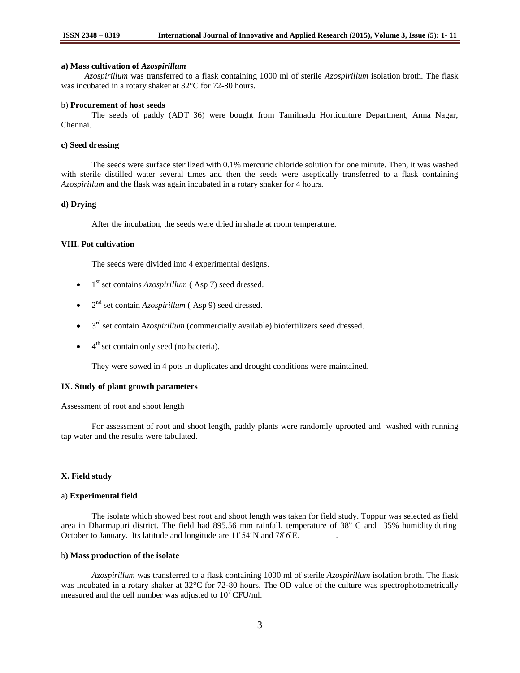#### **a) Mass cultivation of** *Azospirillum*

 *Azospirillum* was transferred to a flask containing 1000 ml of sterile *Azospirillum* isolation broth. The flask was incubated in a rotary shaker at 32°C for 72-80 hours.

### b) **Procurement of host seeds**

The seeds of paddy (ADT 36) were bought from Tamilnadu Horticulture Department, Anna Nagar, Chennai.

### **c) Seed dressing**

The seeds were surface sterillzed with 0.1% mercuric chloride solution for one minute. Then, it was washed with sterile distilled water several times and then the seeds were aseptically transferred to a flask containing *Azospirillum* and the flask was again incubated in a rotary shaker for 4 hours.

## **d) Drying**

After the incubation, the seeds were dried in shade at room temperature.

## **VIII. Pot cultivation**

The seeds were divided into 4 experimental designs.

- $\bullet$  1<sup>st</sup> set contains *Azospirillum* (Asp 7) seed dressed.
- $\bullet$  2<sup>nd</sup> set contain *Azospirillum* (Asp 9) seed dressed.
- 3<sup>rd</sup> set contain *Azospirillum* (commercially available) biofertilizers seed dressed.
- $\bullet$  4<sup>th</sup> set contain only seed (no bacteria).

They were sowed in 4 pots in duplicates and drought conditions were maintained.

#### **IX. Study of plant growth parameters**

Assessment of root and shoot length

For assessment of root and shoot length, paddy plants were randomly uprooted and washed with running tap water and the results were tabulated.

## **X. Field study**

### a) **Experimental field**

The isolate which showed best root and shoot length was taken for field study. Toppur was selected as field area in Dharmapuri district. The field had 895.56 mm rainfall, temperature of  $38^{\circ}$  C and  $35\%$  humidity during October to January. Its latitude and longitude are 11°54′N and 78°6′E.

## b**) Mass production of the isolate**

*Azospirillum* was transferred to a flask containing 1000 ml of sterile *Azospirillum* isolation broth. The flask was incubated in a rotary shaker at 32°C for 72-80 hours. The OD value of the culture was spectrophotometrically measured and the cell number was adjusted to  $10^7$  CFU/ml.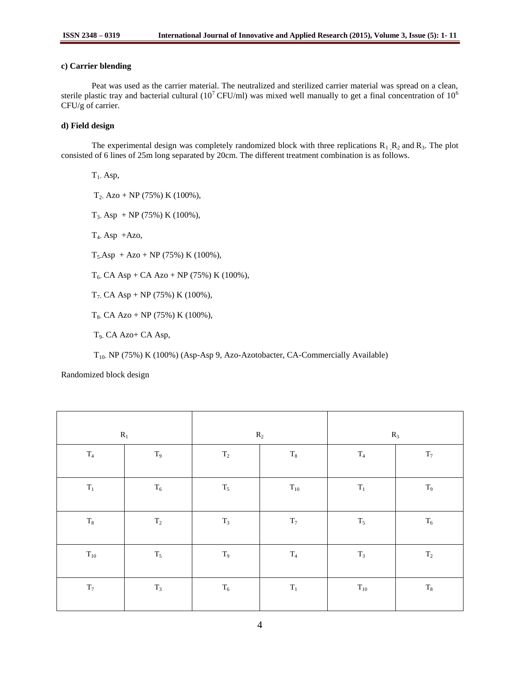# **c) Carrier blending**

Peat was used as the carrier material. The neutralized and sterilized carrier material was spread on a clean, sterile plastic tray and bacterial cultural (10<sup>7</sup>CFU/ml) was mixed well manually to get a final concentration of 10<sup>6</sup> CFU/g of carrier.

# **d) Field design**

The experimental design was completely randomized block with three replications  $R_1, R_2$  and  $R_3$ . The plot consisted of 6 lines of 25m long separated by 20cm. The different treatment combination is as follows.

 $T_1$ . Asp,  $T_2$ , Azo + NP (75%) K (100%),  $T_3$  Asp + NP (75%) K (100%),  $T_{4}$ - Asp +Azo,  $T_5$ Asp + Azo + NP (75%) K (100%),  $T_6$ - CA Asp + CA Azo + NP (75%) K (100%), T<sub>7</sub>. CA Asp + NP (75%) K (100%),  $T_8$ - CA Azo + NP (75%) K (100%),

T9- CA Azo+ CA Asp,

T10- NP (75%) K (100%) (Asp-Asp 9, Azo-Azotobacter, CA-Commercially Available)

Randomized block design

| $\mathbf{R}_1$ |                | $R_2$          |                | $R_3$          |                |
|----------------|----------------|----------------|----------------|----------------|----------------|
| $\mathrm{T}_4$ | $\rm T_9$      | $\mathrm{T}_2$ | $\rm T_8$      | $\mathrm{T}_4$ | $\mathrm{T}_7$ |
| $\mathbf{T}_1$ | $\rm T_6$      | $\mathrm{T}_5$ | $\rm T_{10}$   | $\mathbf{T}_1$ | $T_9$          |
| $\rm T_8$      | $\rm T_2$      | $\mathrm{T}_3$ | $\mathrm{T}_7$ | $\mathrm{T}_5$ | $T_6$          |
| $T_{10}$       | $\mathrm{T}_5$ | $\rm T_9$      | $\mathrm{T}_4$ | $T_3$          | $\mathrm{T}_2$ |
| $\mathbf{T}_7$ | $\mathrm{T}_3$ | $\mathrm{T}_6$ | $\mathbf{T}_1$ | $\rm T_{10}$   | $\rm T_8$      |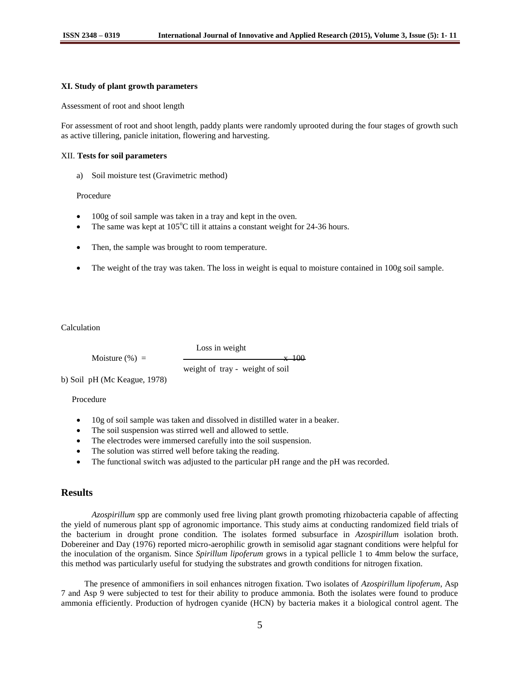#### **XI. Study of plant growth parameters**

Assessment of root and shoot length

For assessment of root and shoot length, paddy plants were randomly uprooted during the four stages of growth such as active tillering, panicle initation, flowering and harvesting.

### XII. **Tests for soil parameters**

a) Soil moisture test (Gravimetric method)

Procedure

- 100g of soil sample was taken in a tray and kept in the oven.
- The same was kept at  $105^{\circ}$ C till it attains a constant weight for 24-36 hours.
- Then, the sample was brought to room temperature.
- The weight of the tray was taken. The loss in weight is equal to moisture contained in 100g soil sample.

Calculation

Moisture  $(\%) =$   $\frac{\ }{100}$ weight of tray - weight of soil

Loss in weight

b) Soil pH (Mc Keague, 1978)

Procedure

- 10g of soil sample was taken and dissolved in distilled water in a beaker.
- The soil suspension was stirred well and allowed to settle.
- The electrodes were immersed carefully into the soil suspension.
- The solution was stirred well before taking the reading.
- The functional switch was adjusted to the particular pH range and the pH was recorded.

# **Results**

*Azospirillum* spp are commonly used free living plant growth promoting rhizobacteria capable of affecting the yield of numerous plant spp of agronomic importance. This study aims at conducting randomized field trials of the bacterium in drought prone condition. The isolates formed subsurface in *Azospirillum* isolation broth. Dobereiner and Day (1976) reported micro-aerophilic growth in semisolid agar stagnant conditions were helpful for the inoculation of the organism. Since *Spirillum lipoferum* grows in a typical pellicle 1 to 4mm below the surface, this method was particularly useful for studying the substrates and growth conditions for nitrogen fixation.

 The presence of ammonifiers in soil enhances nitrogen fixation. Two isolates of *Azospirillum lipoferum*, Asp 7 and Asp 9 were subjected to test for their ability to produce ammonia. Both the isolates were found to produce ammonia efficiently. Production of hydrogen cyanide (HCN) by bacteria makes it a biological control agent. The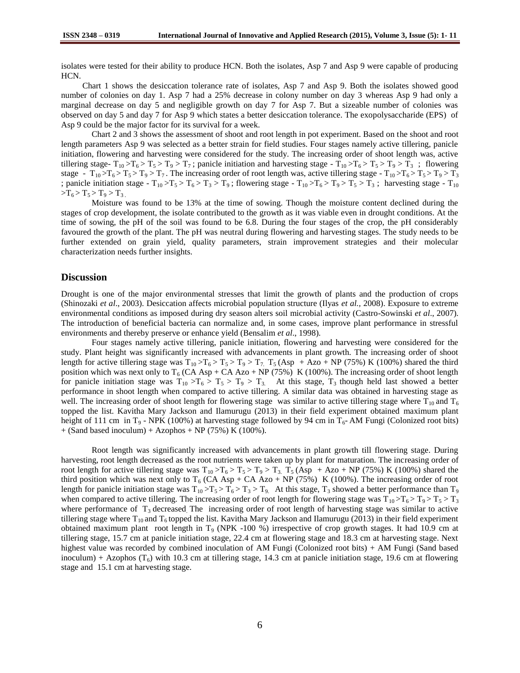isolates were tested for their ability to produce HCN. Both the isolates, Asp 7 and Asp 9 were capable of producing HCN.

 Chart 1 shows the desiccation tolerance rate of isolates, Asp 7 and Asp 9. Both the isolates showed good number of colonies on day 1. Asp 7 had a 25% decrease in colony number on day 3 whereas Asp 9 had only a marginal decrease on day 5 and negligible growth on day 7 for Asp 7. But a sizeable number of colonies was observed on day 5 and day 7 for Asp 9 which states a better desiccation tolerance. The exopolysaccharide (EPS) of Asp 9 could be the major factor for its survival for a week.

Chart 2 and 3 shows the assessment of shoot and root length in pot experiment. Based on the shoot and root length parameters Asp 9 was selected as a better strain for field studies. Four stages namely active tillering, panicle initiation, flowering and harvesting were considered for the study. The increasing order of shoot length was, active tillering stage-  $T_{10} > T_6 > T_5 > T_9 > T_7$ ; panicle initiation and harvesting stage -  $T_{10} > T_6 > T_5 > T_9 > T_3$ ; flowering stage -  $T_{10} > T_6 > T_5 > T_9 > T_7$ . The increasing order of root length was, active tillering stage -  $T_{10} > T_6 > T_5 > T_9 > T_3$ ; panicle initiation stage -  $T_{10} > T_5 > T_6 > T_3 > T_9$ ; flowering stage -  $T_{10} > T_6 > T_9 > T_5 > T_3$ ; harvesting stage -  $T_{10}$  $>T_6 > T_5 > T_9 > T_3$ 

Moisture was found to be 13% at the time of sowing. Though the moisture content declined during the stages of crop development, the isolate contributed to the growth as it was viable even in drought conditions. At the time of sowing, the pH of the soil was found to be 6.8. During the four stages of the crop, the pH considerably favoured the growth of the plant. The pH was neutral during flowering and harvesting stages. The study needs to be further extended on grain yield, quality parameters, strain improvement strategies and their molecular characterization needs further insights.

## **Discussion**

Drought is one of the major environmental stresses that limit the growth of plants and the production of crops (Shinozaki *et al*., 2003). Desiccation affects microbial population structure (Ilyas *et al.,* 2008). Exposure to extreme environmental conditions as imposed during dry season alters soil microbial activity (Castro-Sowinski *et al*., 2007). The introduction of beneficial bacteria can normalize and, in some cases, improve plant performance in stressful environments and thereby preserve or enhance yield (Bensalim *et al*., 1998).

Four stages namely active tillering, panicle initiation, flowering and harvesting were considered for the study. Plant height was significantly increased with advancements in plant growth. The increasing order of shoot length for active tillering stage was  $T_{10} > T_6 > T_5 > T_9 > T_7$ .  $T_5 (Asp + Azo + NP (75%) K (100%)$  shared the third position which was next only to  $T_6$  (CA Asp + CA Azo + NP (75%) K (100%). The increasing order of shoot length for panicle initiation stage was  $T_{10} > T_6 > T_5 > T_9 > T_3$ . At this stage,  $T_3$  though held last showed a better performance in shoot length when compared to active tillering. A similar data was obtained in harvesting stage as well. The increasing order of shoot length for flowering stage was similar to active tillering stage where  $T_{10}$  and  $T_6$ topped the list. Kavitha Mary Jackson and Ilamurugu (2013) in their field experiment obtained maximum plant height of 111 cm in T<sub>9</sub> - NPK (100%) at harvesting stage followed by 94 cm in T<sub>6</sub>- AM Fungi (Colonized root bits)  $+$  (Sand based inoculum) + Azophos  $+$  NP (75%) K (100%).

Root length was significantly increased with advancements in plant growth till flowering stage. During harvesting, root length decreased as the root nutrients were taken up by plant for maturation. The increasing order of root length for active tillering stage was  $T_{10} > T_6 > T_5 > T_9 > T_3$ . T<sub>5</sub> (Asp + Azo + NP (75%) K (100%) shared the third position which was next only to  $T_6$  (CA Asp + CA Azo + NP (75%) K (100%). The increasing order of root length for panicle initiation stage was  $T_{10} > T_5 > T_6 > T_3 > T_9$ . At this stage,  $T_3$  showed a better performance than  $T_9$ when compared to active tillering. The increasing order of root length for flowering stage was  $T_{10} > T_6 > T_9 > T_5 > T_3$ where performance of  $T_3$  decreased. The increasing order of root length of harvesting stage was similar to active tillering stage where  $T_{10}$  and  $T_6$  topped the list. Kavitha Mary Jackson and Ilamurugu (2013) in their field experiment obtained maximum plant root length in  $T<sub>9</sub>$  (NPK -100 %) irrespective of crop growth stages. It had 10.9 cm at tillering stage, 15.7 cm at panicle initiation stage, 22.4 cm at flowering stage and 18.3 cm at harvesting stage. Next highest value was recorded by combined inoculation of AM Fungi (Colonized root bits) + AM Fungi (Sand based inoculum) + Azophos  $(T_6)$  with 10.3 cm at tillering stage, 14.3 cm at panicle initiation stage, 19.6 cm at flowering stage and 15.1 cm at harvesting stage.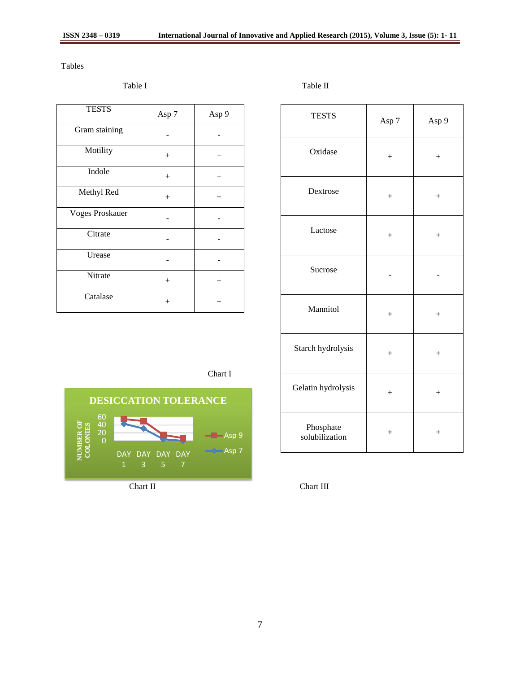Tables

| <b>TESTS</b>           | Asp 7  | Asp 9  |
|------------------------|--------|--------|
| Gram staining          |        |        |
| Motility               | $^{+}$ | $+$    |
| Indole                 | $^{+}$ | $+$    |
| Methyl Red             | $^{+}$ | $^{+}$ |
| <b>Voges Proskauer</b> |        |        |
| Citrate                |        |        |
| Urease                 |        |        |
| Nitrate                | $^{+}$ | $^{+}$ |
| Catalase               | $^{+}$ | $^{+}$ |

Table I Table II

| <b>TESTS</b>                | Asp 7  | Asp 9            |
|-----------------------------|--------|------------------|
| Oxidase                     | $^{+}$ | $^{+}$           |
| Dextrose                    | $^{+}$ | $^{+}$           |
| Lactose                     | $^{+}$ | $^{+}$           |
| Sucrose                     |        |                  |
| Mannitol                    | $^{+}$ | $^{+}$           |
| Starch hydrolysis           | $^{+}$ | $\boldsymbol{+}$ |
| Gelatin hydrolysis          | $^{+}$ | $^{+}$           |
| Phosphate<br>solubilization | $^{+}$ | $^{+}$           |

Chart I

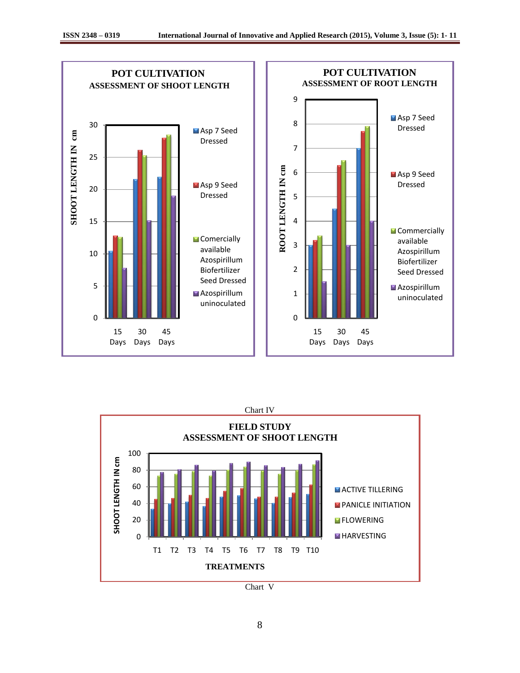



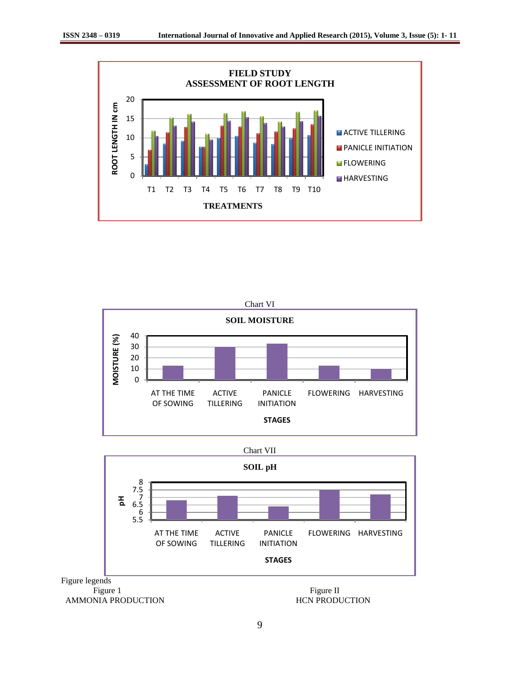





9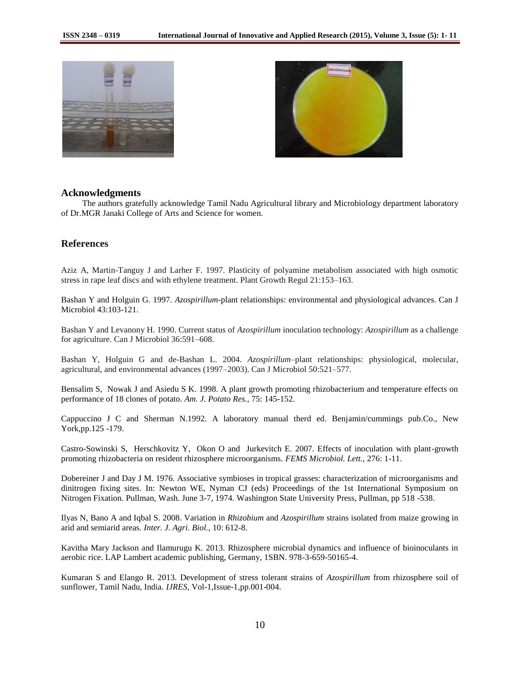



## **Acknowledgments**

 The authors gratefully acknowledge Tamil Nadu Agricultural library and Microbiology department laboratory of Dr.MGR Janaki College of Arts and Science for women.

# **References**

Aziz A, Martin-Tanguy J and Larher F. 1997. Plasticity of polyamine metabolism associated with high osmotic stress in rape leaf discs and with ethylene treatment. Plant Growth Regul 21:153–163.

Bashan Y and Holguin G. 1997. *Azospirillum*-plant relationships: environmental and physiological advances. Can J Microbiol 43:103-121.

Bashan Y and Levanony H. 1990. Current status of *Azospirillum* inoculation technology: *Azospirillum* as a challenge for agriculture. Can J Microbiol 36:591–608.

Bashan Y, Holguin G and de-Bashan L. 2004. *Azospirillum*–plant relationships: physiological, molecular, agricultural, and environmental advances (1997–2003). Can J Microbiol 50:521–577.

Bensalim S, Nowak J and Asiedu S K. 1998. A plant growth promoting rhizobacterium and temperature effects on performance of 18 clones of potato. *Am. J. Potato Res.,* 75: 145-152.

Cappuccino J C and Sherman N.1992. A laboratory manual therd ed. Benjamin/cummings pub.Co., New York,pp.125 -179.

Castro-Sowinski S, Herschkovitz Y, Okon O and Jurkevitch E. 2007. Effects of inoculation with plant-growth promoting rhizobacteria on resident rhizosphere microorganisms. *FEMS Microbiol. Lett.,* 276: 1-11.

Dobereiner J and Day J M. 1976. Associative symbioses in tropical grasses: characterization of microorganisms and dinitrogen fixing sites. In: Newton WE, Nyman CJ (eds) Proceedings of the 1st International Symposium on Nitrogen Fixation. Pullman, Wash. June 3-7, 1974. Washington State University Press, Pullman, pp 518 -538.

Ilyas N, Bano A and Iqbal S. 2008. Variation in *Rhizobium* and *Azospirillum* strains isolated from maize growing in arid and semiarid areas. *Inter. J. Agri. Biol.,* 10: 612-8.

Kavitha Mary Jackson and Ilamurugu K. 2013. Rhizosphere microbial dynamics and influence of bioinoculants in aerobic rice. LAP Lambert academic publishing, Germany, 1SBN. 978-3-659-50165-4.

Kumaran S and Elango R. 2013. Development of stress tolerant strains of *Azospirillum* from rhizosphere soil of sunflower, Tamil Nadu, India. *IJRES*, Vol-1,Issue-1,pp.001-004.